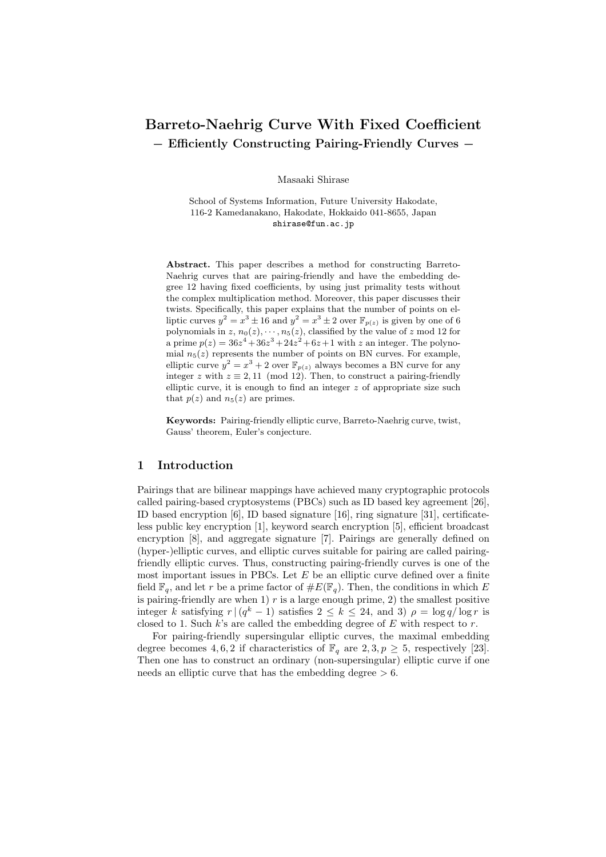# Barreto-Naehrig Curve With Fixed Coefficient − Efficiently Constructing Pairing-Friendly Curves −

Masaaki Shirase

School of Systems Information, Future University Hakodate, 116-2 Kamedanakano, Hakodate, Hokkaido 041-8655, Japan shirase@fun.ac.jp

Abstract. This paper describes a method for constructing Barreto-Naehrig curves that are pairing-friendly and have the embedding degree 12 having fixed coefficients, by using just primality tests without the complex multiplication method. Moreover, this paper discusses their twists. Specifically, this paper explains that the number of points on elliptic curves  $y^2 = x^3 \pm 16$  and  $y^2 = x^3 \pm 2$  over  $\mathbb{F}_{p(z)}$  is given by one of 6 polynomials in  $z, n_0(z), \dots, n_5(z)$ , classified by the value of  $z \mod 12$  for a prime  $p(z) = 36z^4 + 36z^3 + 24z^2 + 6z + 1$  with z an integer. The polynomial  $n_5(z)$  represents the number of points on BN curves. For example, elliptic curve  $y^2 = x^3 + 2$  over  $\mathbb{F}_{p(z)}$  always becomes a BN curve for any integer z with  $z \equiv 2, 11 \pmod{12}$ . Then, to construct a pairing-friendly elliptic curve, it is enough to find an integer  $z$  of appropriate size such that  $p(z)$  and  $n_5(z)$  are primes.

Keywords: Pairing-friendly elliptic curve, Barreto-Naehrig curve, twist, Gauss' theorem, Euler's conjecture.

### 1 Introduction

Pairings that are bilinear mappings have achieved many cryptographic protocols called pairing-based cryptosystems (PBCs) such as ID based key agreement [26], ID based encryption [6], ID based signature [16], ring signature [31], certificateless public key encryption [1], keyword search encryption [5], efficient broadcast encryption [8], and aggregate signature [7]. Pairings are generally defined on (hyper-)elliptic curves, and elliptic curves suitable for pairing are called pairingfriendly elliptic curves. Thus, constructing pairing-friendly curves is one of the most important issues in PBCs. Let  $E$  be an elliptic curve defined over a finite field  $\mathbb{F}_q$ , and let r be a prime factor of  $\#E(\mathbb{F}_q)$ . Then, the conditions in which E is pairing-friendly are when  $1)$  r is a large enough prime, 2) the smallest positive integer k satisfying  $r \mid (q^k - 1)$  satisfies  $2 \leq k \leq 24$ , and 3)  $\rho = \log q / \log r$  is closed to 1. Such  $k$ 's are called the embedding degree of  $E$  with respect to  $r$ .

For pairing-friendly supersingular elliptic curves, the maximal embedding degree becomes 4, 6, 2 if characteristics of  $\mathbb{F}_q$  are  $2, 3, p \geq 5$ , respectively [23]. Then one has to construct an ordinary (non-supersingular) elliptic curve if one needs an elliptic curve that has the embedding degree  $> 6$ .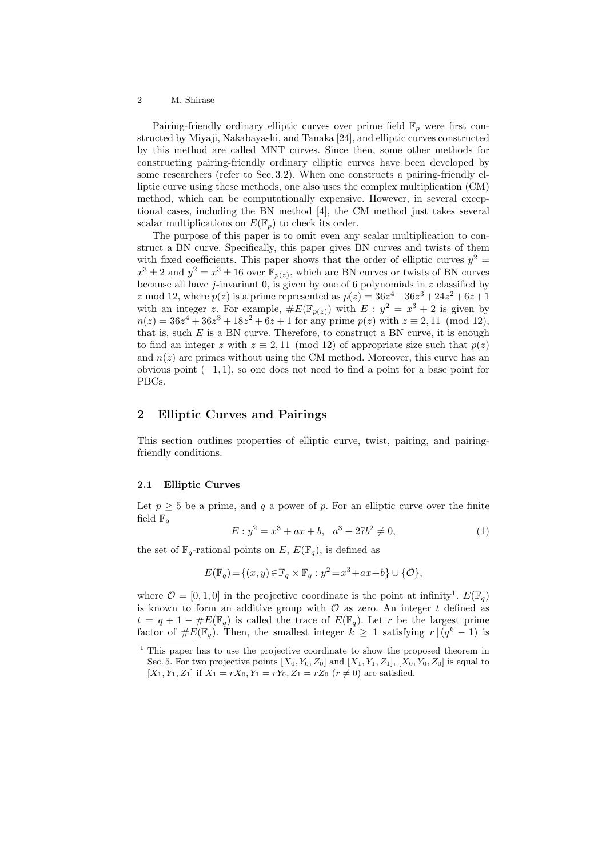Pairing-friendly ordinary elliptic curves over prime field  $\mathbb{F}_p$  were first constructed by Miyaji, Nakabayashi, and Tanaka [24], and elliptic curves constructed by this method are called MNT curves. Since then, some other methods for constructing pairing-friendly ordinary elliptic curves have been developed by some researchers (refer to Sec. 3.2). When one constructs a pairing-friendly elliptic curve using these methods, one also uses the complex multiplication (CM) method, which can be computationally expensive. However, in several exceptional cases, including the BN method [4], the CM method just takes several scalar multiplications on  $E(\mathbb{F}_p)$  to check its order.

The purpose of this paper is to omit even any scalar multiplication to construct a BN curve. Specifically, this paper gives BN curves and twists of them with fixed coefficients. This paper shows that the order of elliptic curves  $y^2 =$  $x^3 \pm 2$  and  $y^2 = x^3 \pm 16$  over  $\mathbb{F}_{p(z)}$ , which are BN curves or twists of BN curves because all have j-invariant 0, is given by one of 6 polynomials in z classified by z mod 12, where  $p(z)$  is a prime represented as  $p(z) = 36z^4 + 36z^3 + 24z^2 + 6z + 1$ with an integer z. For example,  $\#E(\mathbb{F}_{p(z)})$  with  $E: y^2 = x^3 + 2$  is given by  $n(z) = 36z^4 + 36z^3 + 18z^2 + 6z + 1$  for any prime  $p(z)$  with  $z \equiv 2, 11 \pmod{12}$ , that is, such  $E$  is a BN curve. Therefore, to construct a BN curve, it is enough to find an integer z with  $z \equiv 2,11 \pmod{12}$  of appropriate size such that  $p(z)$ and  $n(z)$  are primes without using the CM method. Moreover, this curve has an obvious point  $(-1, 1)$ , so one does not need to find a point for a base point for PBCs.

# 2 Elliptic Curves and Pairings

This section outlines properties of elliptic curve, twist, pairing, and pairingfriendly conditions.

### 2.1 Elliptic Curves

Let  $p \geq 5$  be a prime, and q a power of p. For an elliptic curve over the finite field  $\mathbb{F}_q$ 

$$
E: y^2 = x^3 + ax + b, \quad a^3 + 27b^2 \neq 0,\tag{1}
$$

the set of  $\mathbb{F}_q$ -rational points on E,  $E(\mathbb{F}_q)$ , is defined as

$$
E(\mathbb{F}_q) = \{(x, y) \in \mathbb{F}_q \times \mathbb{F}_q : y^2 = x^3 + ax + b\} \cup \{\mathcal{O}\},\
$$

where  $\mathcal{O} = [0, 1, 0]$  in the projective coordinate is the point at infinity<sup>1</sup>.  $E(\mathbb{F}_q)$ is known to form an additive group with  $\mathcal O$  as zero. An integer t defined as  $t = q + 1 - \#E(\mathbb{F}_q)$  is called the trace of  $E(\mathbb{F}_q)$ . Let r be the largest prime factor of  $\#E(\mathbb{F}_q)$ . Then, the smallest integer  $k \geq 1$  satisfying  $r \mid (q^k - 1)$  is

 $\frac{1}{1}$  This paper has to use the projective coordinate to show the proposed theorem in Sec. 5. For two projective points  $[X_0, Y_0, Z_0]$  and  $[X_1, Y_1, Z_1]$ ,  $[X_0, Y_0, Z_0]$  is equal to  $[X_1, Y_1, Z_1]$  if  $X_1 = rX_0, Y_1 = rY_0, Z_1 = rZ_0$   $(r \neq 0)$  are satisfied.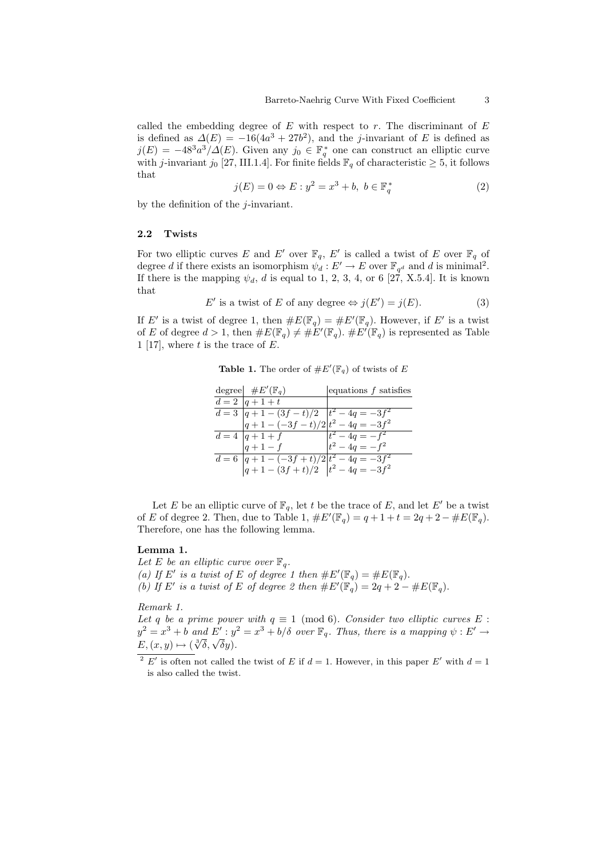called the embedding degree of  $E$  with respect to  $r$ . The discriminant of  $E$ is defined as  $\Delta(E) = -16(4a^3 + 27b^2)$ , and the j-invariant of E is defined as  $j(E) = -48^3a^3/\Delta(E)$ . Given any  $j_0 \in \mathbb{F}_q^*$  one can construct an elliptic curve with j-invariant j<sub>0</sub> [27, III.1.4]. For finite fields  $\mathbb{F}_q$  of characteristic  $\geq$  5, it follows that

$$
j(E) = 0 \Leftrightarrow E : y^2 = x^3 + b, \ b \in \mathbb{F}_q^* \tag{2}
$$

by the definition of the  $j$ -invariant.

### 2.2 Twists

For two elliptic curves E and E' over  $\mathbb{F}_q$ , E' is called a twist of E over  $\mathbb{F}_q$  of degree d if there exists an isomorphism  $\psi_d : E' \to E$  over  $\mathbb{F}_{q^d}$  and d is minimal<sup>2</sup>. If there is the mapping  $\psi_d$ , d is equal to 1, 2, 3, 4, or 6 [27, X.5.4]. It is known that

$$
E' \text{ is a twist of } E \text{ of any degree} \Leftrightarrow j(E') = j(E). \tag{3}
$$

If E' is a twist of degree 1, then  $\#E(\mathbb{F}_q) = \#E'(\mathbb{F}_q)$ . However, if E' is a twist of E of degree  $d > 1$ , then  $\#E(\mathbb{F}_q) \neq \#E'(\mathbb{F}_q)$ .  $\#E'(\mathbb{F}_q)$  is represented as Table 1 [17], where  $t$  is the trace of  $E$ .

**Table 1.** The order of  $#E'(\mathbb{F}_q)$  of twists of E

| degree $\#E'(\mathbb{F}_q)$                                                                                                                     | equations $f$ satisfies |
|-------------------------------------------------------------------------------------------------------------------------------------------------|-------------------------|
| $d = 2  q+1+t$                                                                                                                                  |                         |
| $d = 3 \left  \begin{array}{c} q + 1 - (3f - t)/2 \\ q + 1 - (-3f - t)/2 \end{array} \right  t^2 - 4q = -3f^2$                                  |                         |
|                                                                                                                                                 |                         |
| $d = 4  q + 1 + f$ $t^2 - 4q = -f^2$                                                                                                            |                         |
| $ q+1-f $                                                                                                                                       | $t^2 - 4q = -f^2$       |
|                                                                                                                                                 |                         |
| $d = 6 \left  \begin{array}{l} q+1 - \frac{-3f+t}{2} \end{array} \right  \begin{array}{l} t^2 - 4q = -3f^2 \\ q+1 - \frac{3f+t}{2} \end{array}$ |                         |

Let E be an elliptic curve of  $\mathbb{F}_q$ , let t be the trace of E, and let E' be a twist of E of degree 2. Then, due to Table 1,  $\#E'(\mathbb{F}_q) = q + 1 + t = 2q + 2 - \#E(\mathbb{F}_q)$ . Therefore, one has the following lemma.

### Lemma 1.

Let E be an elliptic curve over  $\mathbb{F}_q$ . (a) If E' is a twist of E of degree 1 then  $\#E'(\mathbb{F}_q) = \#E(\mathbb{F}_q)$ . (b) If E' is a twist of E of degree 2 then  $\#E'(\mathbb{F}_q) = 2q + 2 - \#E(\mathbb{F}_q)$ .

### Remark 1.

Let q be a prime power with  $q \equiv 1 \pmod{6}$ . Consider two elliptic curves E :  $y^2 = x^3 + b$  and  $E' : y^2 = x^3 + b/\delta$  over  $\mathbb{F}_q$ . Thus, there is a mapping  $\psi : E' \to$  $y = x^2 + 6$  and  $E : y$ <br> $E, (x, y) \mapsto (\sqrt[3]{\delta}, \sqrt{\delta}y)$ .

<sup>&</sup>lt;sup>2</sup> E' is often not called the twist of E if  $d = 1$ . However, in this paper E' with  $d = 1$ is also called the twist.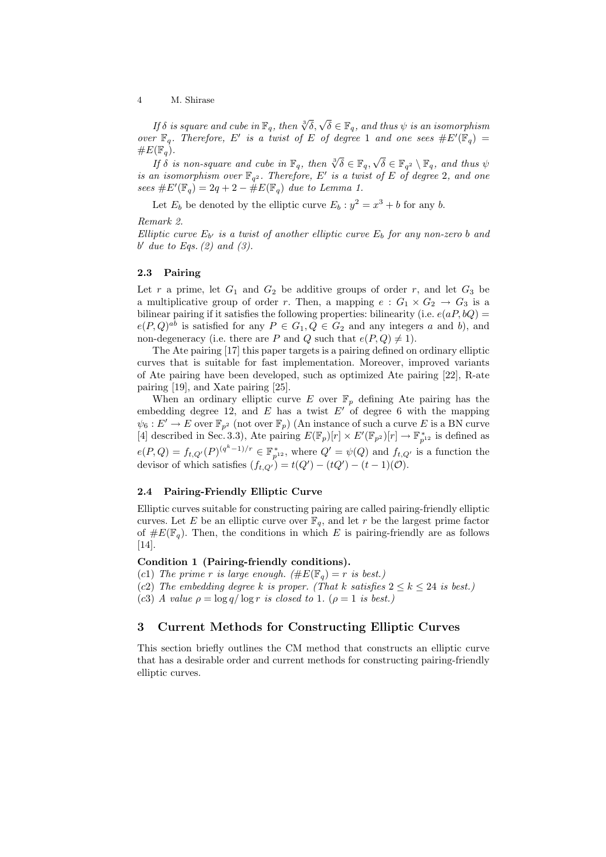If  $\delta$  is square and cube in  $\mathbb{F}_q$ , then  $\sqrt[3]{\delta}$ ,  $\sqrt{\delta} \in \mathbb{F}_q$ , and thus  $\psi$  is an isomorphism over  $\mathbb{F}_q$ . Therefore, E' is a twist of E of degree 1 and one sees  $\#E'(\mathbb{F}_q) =$  $\#E(\mathbb{F}_q)$ . √

 $\mathcal{I}(\mathbb{F}_q)$ .<br>If  $\delta$  is non-square and cube in  $\mathbb{F}_q$ , then  $\sqrt[3]{\delta} \in \mathbb{F}_q$ ,  $\delta \in \mathbb{F}_{q^2} \setminus \mathbb{F}_q$ , and thus  $\psi$ is an isomorphism over  $\mathbb{F}_{q^2}$ . Therefore, E' is a twist of E of degree 2, and one sees  $\#E'(\mathbb{F}_q) = 2q + 2 - \hat{\#}E(\mathbb{F}_q)$  due to Lemma 1.

Let  $E_b$  be denoted by the elliptic curve  $E_b : y^2 = x^3 + b$  for any b.

Remark 2.

Elliptic curve  $E_{b'}$  is a twist of another elliptic curve  $E_b$  for any non-zero b and b' due to Eqs.  $(2)$  and  $(3)$ .

### 2.3 Pairing

Let  $r$  a prime, let  $G_1$  and  $G_2$  be additive groups of order  $r$ , and let  $G_3$  be a multiplicative group of order r. Then, a mapping  $e: G_1 \times G_2 \to G_3$  is a bilinear pairing if it satisfies the following properties: bilinearity (i.e.  $e(aP, bQ)$ )  $e(P,Q)^{ab}$  is satisfied for any  $P \in G_1, Q \in G_2$  and any integers a and b), and non-degeneracy (i.e. there are P and Q such that  $e(P,Q) \neq 1$ ).

The Ate pairing [17] this paper targets is a pairing defined on ordinary elliptic curves that is suitable for fast implementation. Moreover, improved variants of Ate pairing have been developed, such as optimized Ate pairing [22], R-ate pairing [19], and Xate pairing [25].

When an ordinary elliptic curve E over  $\mathbb{F}_p$  defining Ate pairing has the embedding degree 12, and  $E$  has a twist  $E'$  of degree 6 with the mapping  $\psi_6: E' \to E$  over  $\mathbb{F}_{p^2}$  (not over  $\mathbb{F}_p$ ) (An instance of such a curve E is a BN curve [4] described in Sec. 3.3), Ate pairing  $E(\mathbb{F}_p)[r] \times E'(\mathbb{F}_{p^2})[r] \to \mathbb{F}_{p^{12}}^*$  is defined as  $e(P,Q) = f_{t,Q'}(P)^{(q^k-1)/r} \in \mathbb{F}_{p^{12}}^*$ , where  $Q' = \psi(Q)$  and  $f_{t,Q'}$  is a function the devisor of which satisfies  $(f_{t,Q}) = t(Q') - (tQ') - (t-1)(\mathcal{O})$ .

### 2.4 Pairing-Friendly Elliptic Curve

Elliptic curves suitable for constructing pairing are called pairing-friendly elliptic curves. Let E be an elliptic curve over  $\mathbb{F}_q$ , and let r be the largest prime factor of  $\#E(\mathbb{F}_q)$ . Then, the conditions in which E is pairing-friendly are as follows [14].

### Condition 1 (Pairing-friendly conditions).

- (c1) The prime r is large enough. ( $\#E(\mathbb{F}_q) = r$  is best.)
- (c2) The embedding degree k is proper. (That k satisfies  $2 \leq k \leq 24$  is best.)
- (c3) A value  $\rho = \log q / \log r$  is closed to 1. ( $\rho = 1$  is best.)

# 3 Current Methods for Constructing Elliptic Curves

This section briefly outlines the CM method that constructs an elliptic curve that has a desirable order and current methods for constructing pairing-friendly elliptic curves.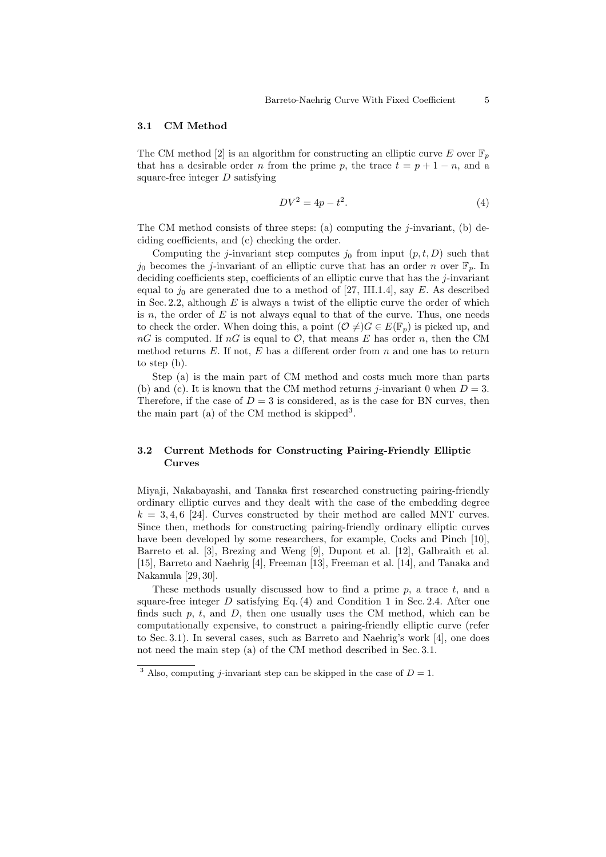#### 3.1 CM Method

The CM method [2] is an algorithm for constructing an elliptic curve E over  $\mathbb{F}_n$ that has a desirable order n from the prime p, the trace  $t = p + 1 - n$ , and a square-free integer  $D$  satisfying

$$
DV^2 = 4p - t^2.\t\t(4)
$$

The CM method consists of three steps: (a) computing the  $j$ -invariant, (b) deciding coefficients, and (c) checking the order.

Computing the j-invariant step computes  $j_0$  from input  $(p, t, D)$  such that  $j_0$  becomes the j-invariant of an elliptic curve that has an order n over  $\mathbb{F}_p$ . In deciding coefficients step, coefficients of an elliptic curve that has the  $j$ -invariant equal to  $j_0$  are generated due to a method of [27, III.1.4], say E. As described in Sec. 2.2, although  $E$  is always a twist of the elliptic curve the order of which is  $n$ , the order of  $E$  is not always equal to that of the curve. Thus, one needs to check the order. When doing this, a point  $(\mathcal{O} \neq)G \in E(\mathbb{F}_p)$  is picked up, and  $nG$  is computed. If  $nG$  is equal to  $\mathcal{O}$ , that means E has order n, then the CM method returns  $E$ . If not,  $E$  has a different order from  $n$  and one has to return to step (b).

Step (a) is the main part of CM method and costs much more than parts (b) and (c). It is known that the CM method returns *j*-invariant 0 when  $D = 3$ . Therefore, if the case of  $D = 3$  is considered, as is the case for BN curves, then the main part (a) of the CM method is skipped<sup>3</sup>.

# 3.2 Current Methods for Constructing Pairing-Friendly Elliptic Curves

Miyaji, Nakabayashi, and Tanaka first researched constructing pairing-friendly ordinary elliptic curves and they dealt with the case of the embedding degree  $k = 3, 4, 6$  [24]. Curves constructed by their method are called MNT curves. Since then, methods for constructing pairing-friendly ordinary elliptic curves have been developed by some researchers, for example, Cocks and Pinch [10], Barreto et al. [3], Brezing and Weng [9], Dupont et al. [12], Galbraith et al. [15], Barreto and Naehrig [4], Freeman [13], Freeman et al. [14], and Tanaka and Nakamula [29, 30].

These methods usually discussed how to find a prime  $p$ , a trace  $t$ , and a square-free integer  $D$  satisfying Eq. (4) and Condition 1 in Sec. 2.4. After one finds such p, t, and  $D$ , then one usually uses the CM method, which can be computationally expensive, to construct a pairing-friendly elliptic curve (refer to Sec. 3.1). In several cases, such as Barreto and Naehrig's work [4], one does not need the main step (a) of the CM method described in Sec. 3.1.

<sup>&</sup>lt;sup>3</sup> Also, computing *j*-invariant step can be skipped in the case of  $D = 1$ .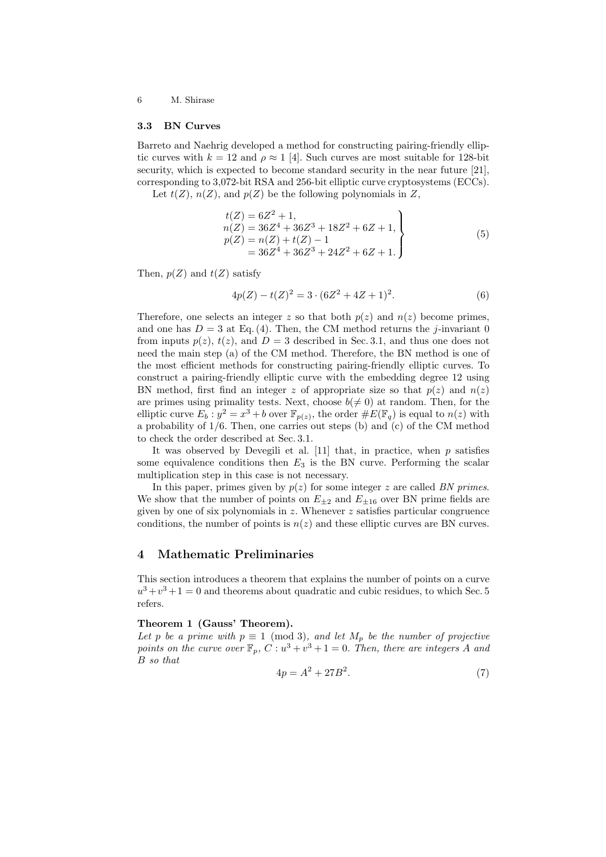#### 3.3 BN Curves

Barreto and Naehrig developed a method for constructing pairing-friendly elliptic curves with  $k = 12$  and  $\rho \approx 1$  [4]. Such curves are most suitable for 128-bit security, which is expected to become standard security in the near future [21], corresponding to 3,072-bit RSA and 256-bit elliptic curve cryptosystems (ECCs).

Let  $t(Z)$ ,  $n(Z)$ , and  $p(Z)$  be the following polynomials in Z,

$$
t(Z) = 6Z2 + 1,n(Z) = 36Z4 + 36Z3 + 18Z2 + 6Z + 1,p(Z) = n(Z) + t(Z) - 1= 36Z4 + 36Z3 + 24Z2 + 6Z + 1.
$$
 (5)

Then,  $p(Z)$  and  $t(Z)$  satisfy

$$
4p(Z) - t(Z)^2 = 3 \cdot (6Z^2 + 4Z + 1)^2.
$$
 (6)

Therefore, one selects an integer z so that both  $p(z)$  and  $n(z)$  become primes, and one has  $D = 3$  at Eq. (4). Then, the CM method returns the *j*-invariant 0 from inputs  $p(z)$ ,  $t(z)$ , and  $D = 3$  described in Sec. 3.1, and thus one does not need the main step (a) of the CM method. Therefore, the BN method is one of the most efficient methods for constructing pairing-friendly elliptic curves. To construct a pairing-friendly elliptic curve with the embedding degree 12 using BN method, first find an integer z of appropriate size so that  $p(z)$  and  $n(z)$ are primes using primality tests. Next, choose  $b \neq 0$  at random. Then, for the elliptic curve  $E_b: y^2 = x^3 + b$  over  $\mathbb{F}_{p(z)}$ , the order  $\#E(\mathbb{F}_q)$  is equal to  $n(z)$  with a probability of 1/6. Then, one carries out steps (b) and (c) of the CM method to check the order described at Sec. 3.1.

It was observed by Devegili et al.  $[11]$  that, in practice, when  $p$  satisfies some equivalence conditions then  $E_3$  is the BN curve. Performing the scalar multiplication step in this case is not necessary.

In this paper, primes given by  $p(z)$  for some integer z are called BN primes. We show that the number of points on  $E_{\pm 2}$  and  $E_{\pm 16}$  over BN prime fields are given by one of six polynomials in  $z$ . Whenever  $z$  satisfies particular congruence conditions, the number of points is  $n(z)$  and these elliptic curves are BN curves.

# 4 Mathematic Preliminaries

This section introduces a theorem that explains the number of points on a curve  $u^3 + v^3 + 1 = 0$  and theorems about quadratic and cubic residues, to which Sec. 5 refers.

### Theorem 1 (Gauss' Theorem).

Let p be a prime with  $p \equiv 1 \pmod{3}$ , and let  $M_p$  be the number of projective points on the curve over  $\mathbb{F}_p$ ,  $C: u^3 + v^3 + 1 = 0$ . Then, there are integers A and B so that

$$
4p = A^2 + 27B^2.
$$
 (7)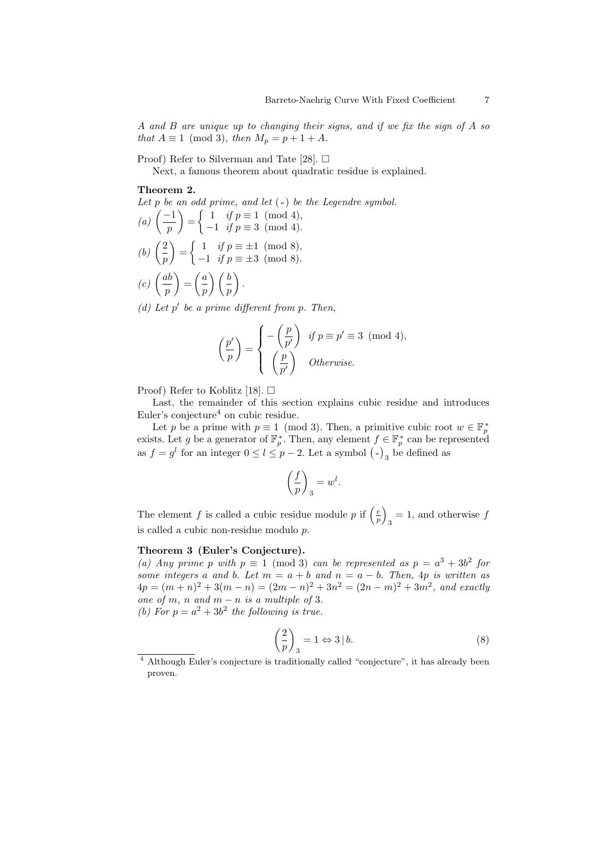A and B are unique up to changing their signs, and if we fix the sign of A so that  $A \equiv 1 \pmod{3}$ , then  $M_p = p + 1 + A$ .

Proof) Refer to Silverman and Tate [28].  $\Box$ 

Next, a famous theorem about quadratic residue is explained.

### Theorem 2.

Let  $p$  be an odd prime, and let  $(-)$  be the Legendre symbol.  $\frac{Lei}{a}$   $\int \frac{-1}{a}$  $\binom{-1}{p} = \begin{cases} 1 & \text{if } p \equiv 1 \pmod{4}, \ -1 & \text{if } p \equiv 3 \pmod{4}. \end{cases}$ 

- $-1$  if  $p \equiv 3 \pmod{4}$ .  $\mathbb{R}$  $\int 1$  if  $p \equiv \pm 1 \pmod{8}$ ,
- (*b*)  $\left( \frac{2}{2} \right)$ p =  $-1$  if  $p \equiv \pm 3 \pmod{8}$ .  $\mathbf{r}$  $\mathbf{r}$
- $(c)$   $\left(\frac{ab}{c}\right)$ p =  $\bigg(a$ p  $\bigwedge$  *(b)* p .

(d) Let  $p'$  be a prime different from  $p$ . Then,

$$
\left(\frac{p'}{p}\right) = \begin{cases} -\left(\frac{p}{p'}\right) & \text{if } p \equiv p' \equiv 3 \pmod{4}, \\ \left(\frac{p}{p'}\right) & \text{Otherwise.} \end{cases}
$$

Proof) Refer to Koblitz [18].  $\Box$ 

Last, the remainder of this section explains cubic residue and introduces Euler's conjecture<sup>4</sup> on cubic residue.

Let p be a prime with  $p \equiv 1 \pmod{3}$ . Then, a primitive cubic root  $w \in \mathbb{F}_p^*$ exists. Let g be a generator of  $\mathbb{F}_p^*$ . Then, any element  $f \in \mathbb{F}_p^*$  can be represented exists. Let y be a generator of  $\mathbb{F}_p$ . Then, any element  $f \in \mathbb{F}_p$  can be rep as  $f = g^l$  for an integer  $0 \le l \le p - 2$ . Let a symbol  $(-)_{3}$  be defined as

$$
\left(\frac{f}{p}\right)_3 = w^l.
$$

The element f is called a cubic residue module p if  $\left(\frac{e}{p}\right)$  $_3 = 1$ , and otherwise  $f$ is called a cubic non-residue modulo p.

### Theorem 3 (Euler's Conjecture).

(a) Any prime p with  $p \equiv 1 \pmod{3}$  can be represented as  $p = a^3 + 3b^2$  for some integers a and b. Let  $m = a + b$  and  $n = a - b$ . Then, 4p is written as  $4p = (m+n)^2 + 3(m-n) = (2m-n)^2 + 3n^2 = (2n-m)^2 + 3m^2$ , and exactly one of m, n and  $m - n$  is a multiple of 3. (b) For  $p = a^2 + 3b^2$  the following is true.

$$
\left(\frac{2}{p}\right)_3 = 1 \Leftrightarrow 3 \mid b. \tag{8}
$$

´

<sup>4</sup> Although Euler's conjecture is traditionally called "conjecture", it has already been proven.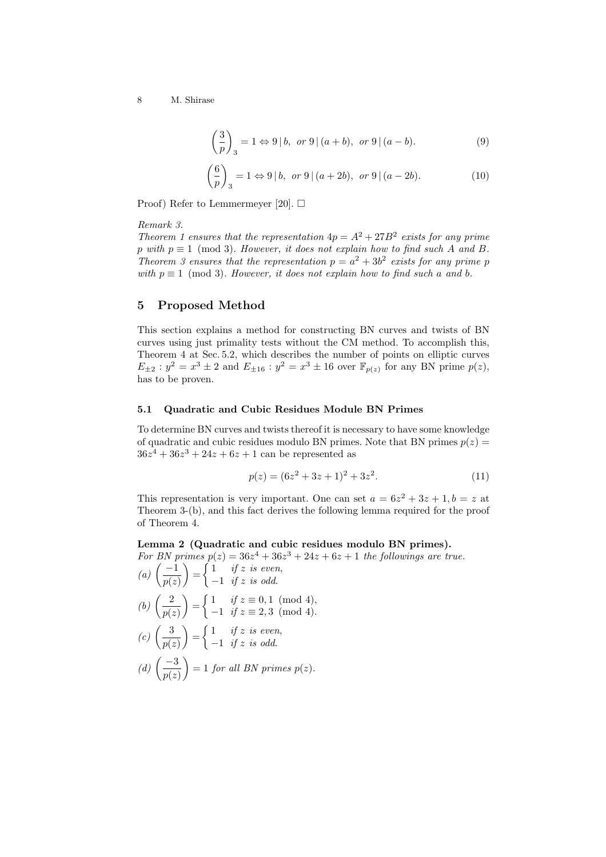$$
\left(\frac{3}{p}\right)_3 = 1 \Leftrightarrow 9 \mid b, \text{ or } 9 \mid (a+b), \text{ or } 9 \mid (a-b).
$$
 (9)

$$
\left(\frac{6}{p}\right)_3 = 1 \Leftrightarrow 9 \mid b, \text{ or } 9 \mid (a+2b), \text{ or } 9 \mid (a-2b).
$$
 (10)

Proof) Refer to Lemmermeyer [20].  $\Box$ 

Remark 3.

Theorem 1 ensures that the representation  $4p = A^2 + 27B^2$  exists for any prime p with  $p \equiv 1 \pmod{3}$ . However, it does not explain how to find such A and B. Theorem 3 ensures that the representation  $p = a^2 + 3b^2$  exists for any prime p with  $p \equiv 1 \pmod{3}$ . However, it does not explain how to find such a and b.

# 5 Proposed Method

This section explains a method for constructing BN curves and twists of BN curves using just primality tests without the CM method. To accomplish this, Theorem 4 at Sec. 5.2, which describes the number of points on elliptic curves  $E_{\pm 2}$ :  $y^2 = x^3 \pm 2$  and  $E_{\pm 16}$ :  $y^2 = x^3 \pm 16$  over  $\mathbb{F}_{p(z)}$  for any BN prime  $p(z)$ , has to be proven.

### 5.1 Quadratic and Cubic Residues Module BN Primes

To determine BN curves and twists thereof it is necessary to have some knowledge of quadratic and cubic residues modulo BN primes. Note that BN primes  $p(z) =$  $36z^4 + 36z^3 + 24z + 6z + 1$  can be represented as

$$
p(z) = (6z2 + 3z + 1)2 + 3z2.
$$
 (11)

This representation is very important. One can set  $a = 6z^2 + 3z + 1, b = z$  at Theorem 3-(b), and this fact derives the following lemma required for the proof of Theorem 4.

# Lemma 2 (Quadratic and cubic residues modulo BN primes).

For BN primes  $p(z) = 36z^4 + 36z^3 + 24z + 6z + 1$  the followings are true.<br>
(a)  $\left(\frac{-1}{\sqrt{2}}\right) = \begin{cases} 1 & \text{if } z \text{ is even,} \\ 1 & \text{if } z \text{ is even.} \end{cases}$ 

(a) 
$$
\left(\frac{-1}{p(z)}\right) = \begin{cases} 1 & \text{if } z \text{ is even,} \\ -1 & \text{if } z \text{ is odd.} \end{cases}
$$

(b) 
$$
\left(\frac{2}{p(z)}\right) = \begin{cases} 1 & \text{if } z \equiv 0, 1 \pmod{4}, \\ -1 & \text{if } z \equiv 2, 3 \pmod{4}. \end{cases}
$$

(c) 
$$
\left(\frac{3}{p(z)}\right) = \begin{cases} 1 & \text{if } z \text{ is even,} \\ -1 & \text{if } z \text{ is odd.} \end{cases}
$$

(d) 
$$
\left(\frac{-3}{p(z)}\right) = 1
$$
 for all BN primes  $p(z)$ .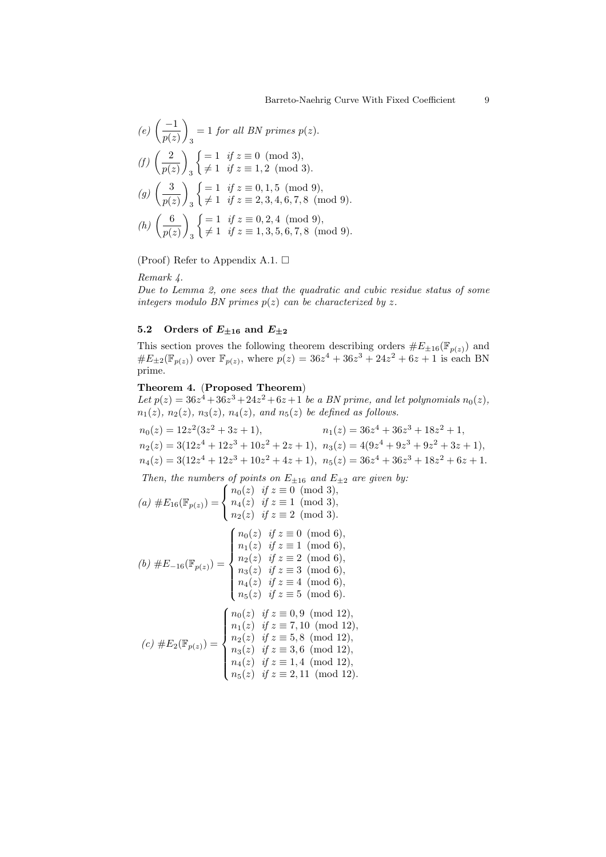(e) 
$$
\left(\frac{-1}{p(z)}\right)_3 = 1
$$
 for all BN primes  $p(z)$ .  
(f)  $\left(\frac{2}{z}\right)_3 = \begin{cases} = 1 & \text{if } z \equiv 0 \pmod{3}, \\ \frac{1}{z-1} & \text{if } z = 1, 2, \pmod{3}. \end{cases}$ 

$$
(J/\left(\frac{\overline{p(z)}}{p(z)}\right)_3\left(\neq 1 \text{ if } z\equiv 1,2\pmod{3}\right).
$$

(g) 
$$
\left(\frac{3}{p(z)}\right)_3 \begin{cases} = 1 & \text{if } z \equiv 0, 1, 5 \pmod{9}, \\ \neq 1 & \text{if } z \equiv 2, 3, 4, 6, 7, 8 \pmod{9}. \end{cases}
$$

(h) 
$$
\left(\frac{6}{p(z)}\right)_3 \begin{cases} = 1 & \text{if } z \equiv 0, 2, 4 \pmod{9}, \\ \neq 1 & \text{if } z \equiv 1, 3, 5, 6, 7, 8 \pmod{9}. \end{cases}
$$

(Proof) Refer to Appendix A.1.  $\Box$ 

Remark 4.

Due to Lemma 2, one sees that the quadratic and cubic residue status of some integers modulo BN primes  $p(z)$  can be characterized by z.

# 5.2 Orders of  $E_{\pm 16}$  and  $E_{\pm 2}$

This section proves the following theorem describing orders  $#E_{\pm 16}(\mathbb{F}_{p(z)})$  and  $\#E_{\pm 2}(\mathbb{F}_{p(z)})$  over  $\mathbb{F}_{p(z)}$ , where  $p(z) = 36z^4 + 36z^3 + 24z^2 + 6z + 1$  is each BN prime.

# Theorem 4. (Proposed Theorem)

Let  $p(z) = 36z^4 + 36z^3 + 24z^2 + 6z + 1$  be a BN prime, and let polynomials  $n_0(z)$ ,  $n_1(z)$ ,  $n_2(z)$ ,  $n_3(z)$ ,  $n_4(z)$ , and  $n_5(z)$  be defined as follows.

$$
n_0(z) = 12z^2(3z^2 + 3z + 1),
$$
  
\n
$$
n_1(z) = 36z^4 + 36z^3 + 18z^2 + 1,
$$
  
\n
$$
n_2(z) = 3(12z^4 + 12z^3 + 10z^2 + 2z + 1),
$$
  
\n
$$
n_3(z) = 4(9z^4 + 9z^3 + 9z^2 + 3z + 1),
$$
  
\n
$$
n_4(z) = 3(12z^4 + 12z^3 + 10z^2 + 4z + 1),
$$
  
\n
$$
n_5(z) = 36z^4 + 36z^3 + 18z^2 + 6z + 1.
$$

Then, the numbers of points on  $E_{\pm 16}$  and  $E_{\pm 2}$  are given by:

(a) 
$$
\#E_{16}(\mathbb{F}_{p(z)}) = \begin{cases} n_0(z) & \text{if } z \equiv 0 \pmod{3}, \\ n_4(z) & \text{if } z \equiv 1 \pmod{3}, \\ n_2(z) & \text{if } z \equiv 2 \pmod{3}. \end{cases}
$$
  
(b)  $\#E_{-16}(\mathbb{F}_{p(z)}) = \begin{cases} n_0(z) & \text{if } z \equiv 0 \pmod{6}, \\ n_1(z) & \text{if } z \equiv 1 \pmod{6}, \\ n_2(z) & \text{if } z \equiv 1 \pmod{6}, \\ n_3(z) & \text{if } z \equiv 3 \pmod{6}, \\ n_4(z) & \text{if } z \equiv 4 \pmod{6}, \\ n_5(z) & \text{if } z \equiv 5 \pmod{6}. \end{cases}$   
(c)  $\#E_2(\mathbb{F}_{p(z)}) = \begin{cases} n_0(z) & \text{if } z \equiv 0, 9 \pmod{12}, \\ n_1(z) & \text{if } z \equiv 7, 10 \pmod{12}, \\ n_2(z) & \text{if } z \equiv 5, 8 \pmod{12}, \\ n_3(z) & \text{if } z \equiv 3, 6 \pmod{12}, \\ n_4(z) & \text{if } z \equiv 1, 4 \pmod{12}, \\ n_4(z) & \text{if } z \equiv 1, 4 \pmod{12}, \\ n_4(z) & \text{if } z \equiv 1, 4 \pmod{12}, \end{cases}$ 

$$
\begin{cases}\n n_4(z) & \text{if } z \equiv 1, 1 \pmod{12}, \\
 n_5(z) & \text{if } z \equiv 2, 11 \pmod{12}.\n\end{cases}
$$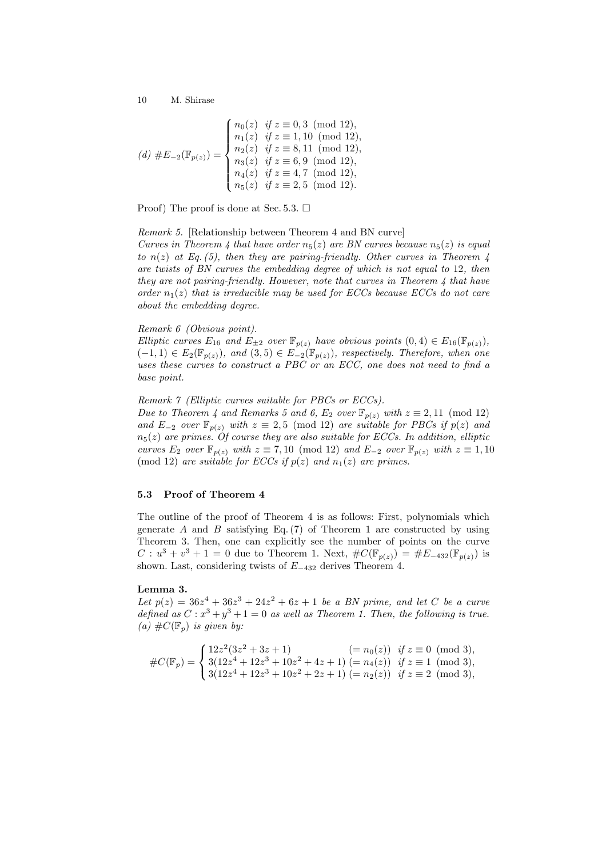$$
(d) \#E_{-2}(\mathbb{F}_{p(z)}) = \begin{cases} n_0(z) & \text{if } z \equiv 0, 3 \pmod{12}, \\ n_1(z) & \text{if } z \equiv 1, 10 \pmod{12}, \\ n_2(z) & \text{if } z \equiv 8, 11 \pmod{12}, \\ n_3(z) & \text{if } z \equiv 6, 9 \pmod{12}, \\ n_4(z) & \text{if } z \equiv 4, 7 \pmod{12}, \\ n_5(z) & \text{if } z \equiv 2, 5 \pmod{12}. \end{cases}
$$

Proof) The proof is done at Sec. 5.3.  $\Box$ 

Remark 5. [Relationship between Theorem 4 and BN curve]

Curves in Theorem 4 that have order  $n_5(z)$  are BN curves because  $n_5(z)$  is equal to  $n(z)$  at Eq. (5), then they are pairing-friendly. Other curves in Theorem 4 are twists of BN curves the embedding degree of which is not equal to 12, then they are not pairing-friendly. However, note that curves in Theorem 4 that have order  $n_1(z)$  that is irreducible may be used for ECCs because ECCs do not care about the embedding degree.

# Remark 6 (Obvious point).

Elliptic curves  $E_{16}$  and  $E_{\pm 2}$  over  $\mathbb{F}_{p(z)}$  have obvious points  $(0, 4) \in E_{16}(\mathbb{F}_{p(z)})$ ,  $(-1,1) \in E_2(\mathbb{F}_{p(z)})$ , and  $(3,5) \in E_{-2}(\mathbb{F}_{p(z)})$ , respectively. Therefore, when one uses these curves to construct a PBC or an ECC, one does not need to find a base point.

Remark 7 (Elliptic curves suitable for PBCs or ECCs).

Due to Theorem 4 and Remarks 5 and 6,  $E_2$  over  $\mathbb{F}_{p(z)}$  with  $z \equiv 2,11 \pmod{12}$ and  $E_{-2}$  over  $\mathbb{F}_{p(z)}$  with  $z \equiv 2,5 \pmod{12}$  are suitable for PBCs if  $p(z)$  and  $n_5(z)$  are primes. Of course they are also suitable for ECCs. In addition, elliptic curves  $E_2$  over  $\mathbb{F}_{p(z)}$  with  $z \equiv 7, 10 \pmod{12}$  and  $E_{-2}$  over  $\mathbb{F}_{p(z)}$  with  $z \equiv 1, 10$ (mod 12) are suitable for ECCs if  $p(z)$  and  $n_1(z)$  are primes.

### 5.3 Proof of Theorem 4

The outline of the proof of Theorem 4 is as follows: First, polynomials which generate A and B satisfying Eq.  $(7)$  of Theorem 1 are constructed by using Theorem 3. Then, one can explicitly see the number of points on the curve  $C: u^{3} + v^{3} + 1 = 0$  due to Theorem 1. Next,  $\#C(\mathbb{F}_{p(z)}) = \#E_{-432}(\mathbb{F}_{p(z)})$  is shown. Last, considering twists of  $E_{-432}$  derives Theorem 4.

#### Lemma 3.

Let  $p(z) = 36z^4 + 36z^3 + 24z^2 + 6z + 1$  be a BN prime, and let C be a curve defined as  $C: x^3 + y^3 + 1 = 0$  as well as Theorem 1. Then, the following is true. (a)  $\#C(\mathbb{F}_p)$  is given by:

$$
#C(\mathbb{F}_p) = \begin{cases} 12z^2(3z^2 + 3z + 1) & (= n_0(z)) \text{ if } z \equiv 0 \pmod{3}, \\ 3(12z^4 + 12z^3 + 10z^2 + 4z + 1) & (= n_4(z)) \text{ if } z \equiv 1 \pmod{3}, \\ 3(12z^4 + 12z^3 + 10z^2 + 2z + 1) & (= n_2(z)) \text{ if } z \equiv 2 \pmod{3}, \end{cases}
$$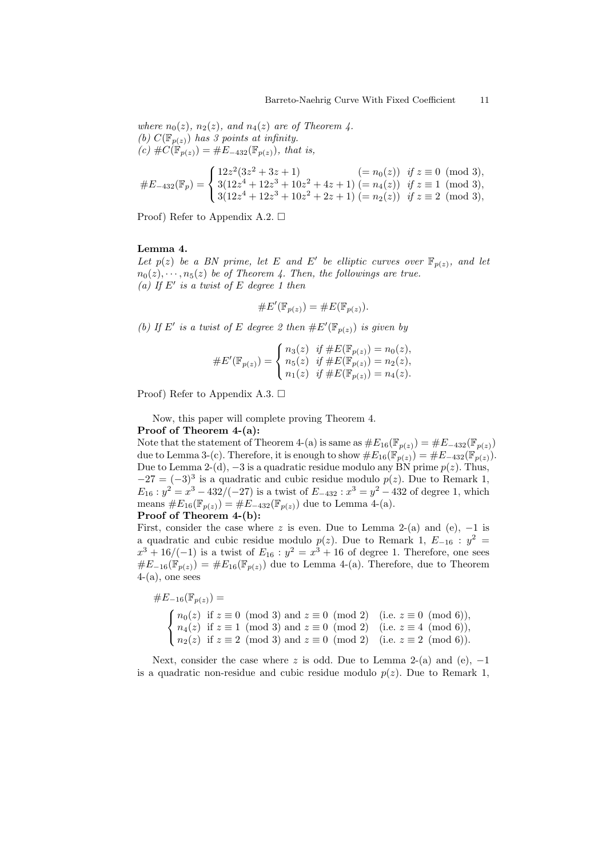where  $n_0(z)$ ,  $n_2(z)$ , and  $n_4(z)$  are of Theorem 4. (b)  $C(\mathbb{F}_{p(z)})$  has 3 points at infinity.  $(c) \#C(\mathbb{F}_{p(z)}) = \#E_{-432}(\mathbb{F}_{p(z)})$ , that is,

$$
\#E_{-432}(\mathbb{F}_p) = \begin{cases} 12z^2(3z^2 + 3z + 1) & (= n_0(z)) \text{ if } z \equiv 0 \pmod{3}, \\ 3(12z^4 + 12z^3 + 10z^2 + 4z + 1) & (= n_4(z)) \text{ if } z \equiv 1 \pmod{3}, \\ 3(12z^4 + 12z^3 + 10z^2 + 2z + 1) & (= n_2(z)) \text{ if } z \equiv 2 \pmod{3}, \end{cases}
$$

Proof) Refer to Appendix A.2.  $\Box$ 

### Lemma 4.

Let  $p(z)$  be a BN prime, let E and E' be elliptic curves over  $\mathbb{F}_{p(z)}$ , and let  $n_0(z), \dots, n_5(z)$  be of Theorem 4. Then, the followings are true. (a) If  $E'$  is a twist of  $E$  degree 1 then

$$
\#E'(\mathbb{F}_{p(z)}) = \#E(\mathbb{F}_{p(z)}).
$$

(b) If E' is a twist of E degree 2 then  $\#E'(\mathbb{F}_{p(z)})$  is given by

#E 0 (Fp(z)) = n3(z) if #E(Fp(z)) = n0(z), n5(z) if #E(Fp(z)) = n2(z), n1(z) if #E(Fp(z)) = n4(z).

Proof) Refer to Appendix A.3.  $\Box$ 

Now, this paper will complete proving Theorem 4. Proof of Theorem 4-(a):

Note that the statement of Theorem 4-(a) is same as  $\#E_{16}(\mathbb{F}_{p(z)}) = \#E_{-432}(\mathbb{F}_{p(z)})$ due to Lemma 3-(c). Therefore, it is enough to show  $\#E_{16}(\mathbb{F}_{p(z)}) = \#E_{-432}(\mathbb{F}_{p(z)})$ . Due to Lemma 2-(d),  $-3$  is a quadratic residue modulo any BN prime  $p(z)$ . Thus,  $-27 = (-3)^3$  is a quadratic and cubic residue modulo  $p(z)$ . Due to Remark 1,  $E_{16}$ :  $y^2 = x^3 - 432/(-27)$  is a twist of  $E_{-432}$ :  $x^3 = y^2 - 432$  of degree 1, which means  $\#E_{16}(\mathbb{F}_{p(z)}) = \#E_{-432}(\mathbb{F}_{p(z)})$  due to Lemma 4-(a). Proof of Theorem 4-(b):

First, consider the case where z is even. Due to Lemma 2-(a) and (e),  $-1$  is a quadratic and cubic residue modulo  $p(z)$ . Due to Remark 1,  $E_{-16}$ :  $y^2 =$  $x^3 + 16/(-1)$  is a twist of  $E_{16}$ :  $y^2 = x^3 + 16$  of degree 1. Therefore, one sees  $\#E_{-16}(\mathbb{F}_{p(z)}) = \#E_{16}(\mathbb{F}_{p(z)})$  due to Lemma 4-(a). Therefore, due to Theorem  $4-(a)$ , one sees

$$
\#E_{-16}(\mathbb{F}_{p(z)}) =
$$
\n
$$
\begin{cases}\nn_0(z) & \text{if } z \equiv 0 \pmod{3} \text{ and } z \equiv 0 \pmod{2} \quad (\text{i.e. } z \equiv 0 \pmod{6}), \\
n_4(z) & \text{if } z \equiv 1 \pmod{3} \text{ and } z \equiv 0 \pmod{2} \quad (\text{i.e. } z \equiv 4 \pmod{6}), \\
n_2(z) & \text{if } z \equiv 2 \pmod{3} \text{ and } z \equiv 0 \pmod{2} \quad (\text{i.e. } z \equiv 2 \pmod{6}).\n\end{cases}
$$

Next, consider the case where z is odd. Due to Lemma 2-(a) and (e),  $-1$ is a quadratic non-residue and cubic residue modulo  $p(z)$ . Due to Remark 1,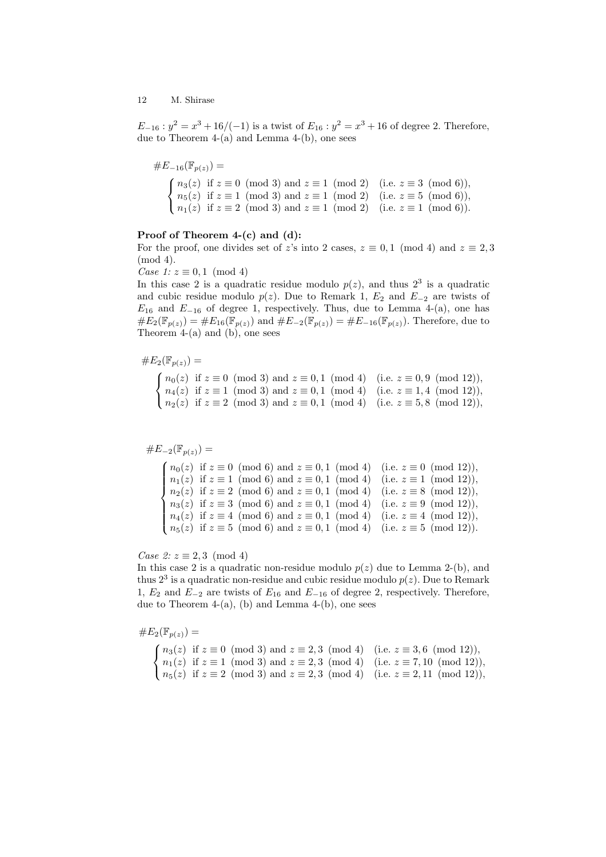$E_{-16}: y^2 = x^3 + 16/(-1)$  is a twist of  $E_{16}: y^2 = x^3 + 16$  of degree 2. Therefore, due to Theorem 4-(a) and Lemma 4-(b), one sees

$$
#E_{-16}(\mathbb{F}_{p(z)}) =
$$
  

$$
\begin{cases} n_3(z) \text{ if } z \equiv 0 \pmod{3} \text{ and } z \equiv 1 \pmod{2} \quad (\text{i.e. } z \equiv 3 \pmod{6}), \\ n_5(z) \text{ if } z \equiv 1 \pmod{3} \text{ and } z \equiv 1 \pmod{2} \quad (\text{i.e. } z \equiv 5 \pmod{6}), \\ n_1(z) \text{ if } z \equiv 2 \pmod{3} \text{ and } z \equiv 1 \pmod{2} \quad (\text{i.e. } z \equiv 1 \pmod{6}). \end{cases}
$$

### Proof of Theorem 4-(c) and (d):

For the proof, one divides set of z's into 2 cases,  $z \equiv 0,1 \pmod{4}$  and  $z \equiv 2,3$ (mod 4).

Case 1:  $z \equiv 0, 1 \pmod{4}$ 

In this case 2 is a quadratic residue modulo  $p(z)$ , and thus  $2<sup>3</sup>$  is a quadratic and cubic residue modulo  $p(z)$ . Due to Remark 1,  $E_2$  and  $E_{-2}$  are twists of  $E_{16}$  and  $E_{-16}$  of degree 1, respectively. Thus, due to Lemma 4-(a), one has  $\#E_2(\mathbb{F}_{p(z)}) = \#E_{16}(\mathbb{F}_{p(z)})$  and  $\#E_{-2}(\mathbb{F}_{p(z)}) = \#E_{-16}(\mathbb{F}_{p(z)})$ . Therefore, due to Theorem  $4-(a)$  and  $(b)$ , one sees

$$
\#E_2(\mathbb{F}_{p(z)}) =
$$

Ī,  $\sqrt{ }$  $\mathcal{L}$  $n_0(z)$  if  $z \equiv 0 \pmod{3}$  and  $z \equiv 0,1 \pmod{4}$  (i.e.  $z \equiv 0,9 \pmod{12}$ ),  $n_4(z)$  if  $z \equiv 1 \pmod{3}$  and  $z \equiv 0,1 \pmod{4}$  (i.e.  $z \equiv 1,4 \pmod{12}$ ),  $n_2(z)$  if  $z \equiv 2 \pmod{3}$  and  $z \equiv 0,1 \pmod{4}$  (i.e.  $z \equiv 5,8 \pmod{12}$ ),

$$
\#E_{-2}(\mathbb{F}_{p(z)}) =
$$

 $\overline{a}$  $\int$  $\begin{matrix} \phantom{-} \end{matrix}$  $n_0(z)$  if  $z \equiv 0 \pmod{6}$  and  $z \equiv 0,1 \pmod{4}$  (i.e.  $z \equiv 0 \pmod{12}$ ),  $n_1(z)$  if  $z \equiv 1 \pmod{6}$  and  $z \equiv 0,1 \pmod{4}$  (i.e.  $z \equiv 1 \pmod{12}$ ),  $n_2(z)$  if  $z \equiv 2 \pmod{6}$  and  $z \equiv 0,1 \pmod{4}$  (i.e.  $z \equiv 8 \pmod{12}$ ),  $n_3(z)$  if  $z \equiv 3 \pmod{6}$  and  $z \equiv 0,1 \pmod{4}$  (i.e.  $z \equiv 9 \pmod{12}$ ),  $n_4(z)$  if  $z \equiv 4 \pmod{6}$  and  $z \equiv 0,1 \pmod{4}$  (i.e.  $z \equiv 4 \pmod{12}$ ),  $n_5(z)$  if  $z \equiv 5 \pmod{6}$  and  $z \equiv 0,1 \pmod{4}$  (i.e.  $z \equiv 5 \pmod{12}$ ).

Case 2:  $z \equiv 2,3 \pmod{4}$ 

In this case 2 is a quadratic non-residue modulo  $p(z)$  due to Lemma 2-(b), and thus  $2^3$  is a quadratic non-residue and cubic residue modulo  $p(z)$ . Due to Remark 1,  $E_2$  and  $E_{-2}$  are twists of  $E_{16}$  and  $E_{-16}$  of degree 2, respectively. Therefore, due to Theorem  $4-(a)$ , (b) and Lemma  $4-(b)$ , one sees

$$
\#E_2(\mathbb{F}_{p(z)}) =
$$

 $\sqrt{ }$  $\mathcal{L}$  $n_3(z)$  if  $z \equiv 0 \pmod{3}$  and  $z \equiv 2,3 \pmod{4}$  (i.e.  $z \equiv 3,6 \pmod{12}$ ),  $n_1(z)$  if  $z \equiv 1 \pmod{3}$  and  $z \equiv 2,3 \pmod{4}$  (i.e.  $z \equiv 7,10 \pmod{12}$ ),  $n_5(z)$  if  $z \equiv 2 \pmod{3}$  and  $z \equiv 2,3 \pmod{4}$  (i.e.  $z \equiv 2,11 \pmod{12}$ ),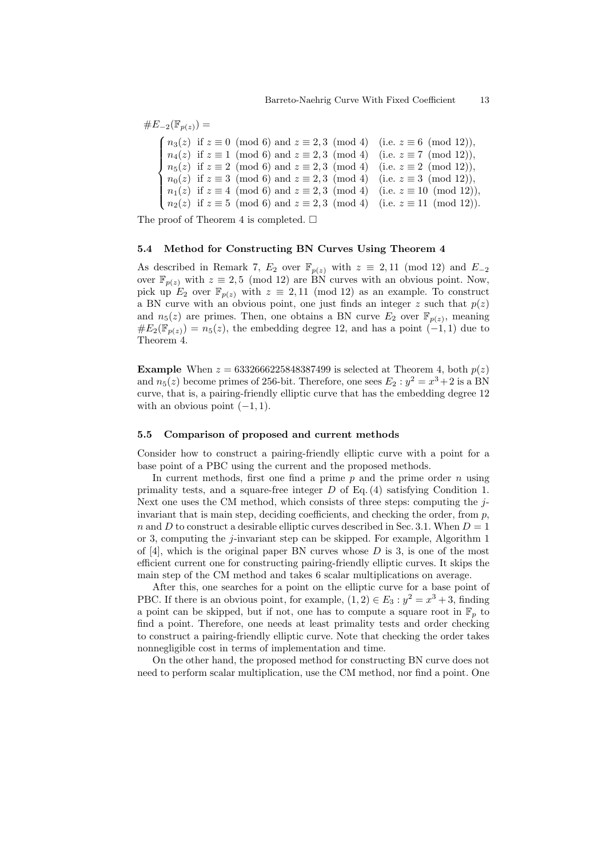$$
\#E_{-2}(\mathbb{F}_{p(z)}) =
$$
\n
$$
\begin{cases}\nn_3(z) \text{ if } z \equiv 0 \pmod{6} \text{ and } z \equiv 2,3 \pmod{4} \quad \text{(i.e. } z \equiv 6 \pmod{12}), \\
n_4(z) \text{ if } z \equiv 1 \pmod{6} \text{ and } z \equiv 2,3 \pmod{4} \quad \text{(i.e. } z \equiv 7 \pmod{12}), \\
n_5(z) \text{ if } z \equiv 2 \pmod{6} \text{ and } z \equiv 2,3 \pmod{4} \quad \text{(i.e. } z \equiv 2 \pmod{12}), \\
n_0(z) \text{ if } z \equiv 3 \pmod{6} \text{ and } z \equiv 2,3 \pmod{4} \quad \text{(i.e. } z \equiv 3 \pmod{12}), \\
n_1(z) \text{ if } z \equiv 4 \pmod{6} \text{ and } z \equiv 2,3 \pmod{4} \quad \text{(i.e. } z \equiv 10 \pmod{12}), \\
n_2(z) \text{ if } z \equiv 5 \pmod{6} \text{ and } z \equiv 2,3 \pmod{4} \quad \text{(i.e. } z \equiv 11 \pmod{12}).\n\end{cases}
$$

The proof of Theorem 4 is completed.  $\Box$ 

### 5.4 Method for Constructing BN Curves Using Theorem 4

As described in Remark 7,  $E_2$  over  $\mathbb{F}_{p(z)}$  with  $z \equiv 2,11 \pmod{12}$  and  $E_{-2}$ over  $\mathbb{F}_{p(z)}$  with  $z \equiv 2, 5 \pmod{12}$  are BN curves with an obvious point. Now, pick up  $E_2$  over  $\mathbb{F}_{p(z)}$  with  $z \equiv 2,11 \pmod{12}$  as an example. To construct a BN curve with an obvious point, one just finds an integer  $z$  such that  $p(z)$ and  $n_5(z)$  are primes. Then, one obtains a BN curve  $E_2$  over  $\mathbb{F}_{p(z)}$ , meaning  $\#E_2(\mathbb{F}_{p(z)}) = n_5(z)$ , the embedding degree 12, and has a point  $(-1,1)$  due to Theorem 4.

**Example** When  $z = 6332666225848387499$  is selected at Theorem 4, both  $p(z)$ and  $n_5(z)$  become primes of 256-bit. Therefore, one sees  $E_2 : y^2 = x^3 + 2$  is a BN curve, that is, a pairing-friendly elliptic curve that has the embedding degree 12 with an obvious point  $(-1, 1)$ .

### 5.5 Comparison of proposed and current methods

Consider how to construct a pairing-friendly elliptic curve with a point for a base point of a PBC using the current and the proposed methods.

In current methods, first one find a prime  $p$  and the prime order  $n$  using primality tests, and a square-free integer  $D$  of Eq. (4) satisfying Condition 1. Next one uses the CM method, which consists of three steps: computing the  $j$ invariant that is main step, deciding coefficients, and checking the order, from  $p$ , n and D to construct a desirable elliptic curves described in Sec. 3.1. When  $D = 1$ or 3, computing the *j*-invariant step can be skipped. For example, Algorithm 1 of  $[4]$ , which is the original paper BN curves whose D is 3, is one of the most efficient current one for constructing pairing-friendly elliptic curves. It skips the main step of the CM method and takes 6 scalar multiplications on average.

After this, one searches for a point on the elliptic curve for a base point of PBC. If there is an obvious point, for example,  $(1,2) \in E_3 : y^2 = x^3 + 3$ , finding a point can be skipped, but if not, one has to compute a square root in  $\mathbb{F}_p$  to find a point. Therefore, one needs at least primality tests and order checking to construct a pairing-friendly elliptic curve. Note that checking the order takes nonnegligible cost in terms of implementation and time.

On the other hand, the proposed method for constructing BN curve does not need to perform scalar multiplication, use the CM method, nor find a point. One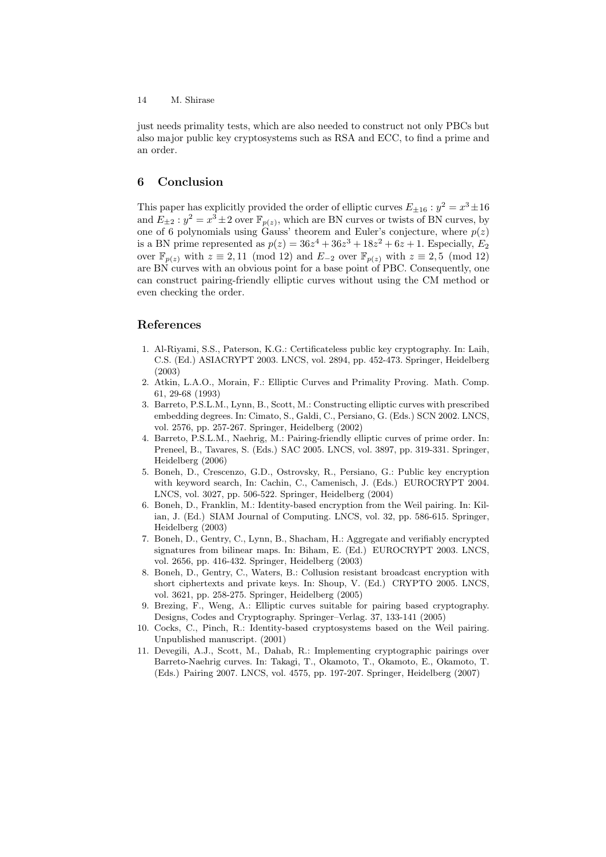just needs primality tests, which are also needed to construct not only PBCs but also major public key cryptosystems such as RSA and ECC, to find a prime and an order.

# 6 Conclusion

This paper has explicitly provided the order of elliptic curves  $E_{\pm 16}$ :  $y^2 = x^3 \pm 16$ and  $E_{\pm 2}: y^2 = x^3 \pm 2$  over  $\mathbb{F}_{p(z)}$ , which are BN curves or twists of BN curves, by one of 6 polynomials using Gauss' theorem and Euler's conjecture, where  $p(z)$ is a BN prime represented as  $p(z) = 36z^4 + 36z^3 + 18z^2 + 6z + 1$ . Especially,  $E_2$ over  $\mathbb{F}_{p(z)}$  with  $z \equiv 2, 11 \pmod{12}$  and  $E_{-2}$  over  $\mathbb{F}_{p(z)}$  with  $z \equiv 2, 5 \pmod{12}$ are BN curves with an obvious point for a base point of PBC. Consequently, one can construct pairing-friendly elliptic curves without using the CM method or even checking the order.

# References

- 1. Al-Riyami, S.S., Paterson, K.G.: Certificateless public key cryptography. In: Laih, C.S. (Ed.) ASIACRYPT 2003. LNCS, vol. 2894, pp. 452-473. Springer, Heidelberg (2003)
- 2. Atkin, L.A.O., Morain, F.: Elliptic Curves and Primality Proving. Math. Comp. 61, 29-68 (1993)
- 3. Barreto, P.S.L.M., Lynn, B., Scott, M.: Constructing elliptic curves with prescribed embedding degrees. In: Cimato, S., Galdi, C., Persiano, G. (Eds.) SCN 2002. LNCS, vol. 2576, pp. 257-267. Springer, Heidelberg (2002)
- 4. Barreto, P.S.L.M., Naehrig, M.: Pairing-friendly elliptic curves of prime order. In: Preneel, B., Tavares, S. (Eds.) SAC 2005. LNCS, vol. 3897, pp. 319-331. Springer, Heidelberg (2006)
- 5. Boneh, D., Crescenzo, G.D., Ostrovsky, R., Persiano, G.: Public key encryption with keyword search, In: Cachin, C., Camenisch, J. (Eds.) EUROCRYPT 2004. LNCS, vol. 3027, pp. 506-522. Springer, Heidelberg (2004)
- 6. Boneh, D., Franklin, M.: Identity-based encryption from the Weil pairing. In: Kilian, J. (Ed.) SIAM Journal of Computing. LNCS, vol. 32, pp. 586-615. Springer, Heidelberg (2003)
- 7. Boneh, D., Gentry, C., Lynn, B., Shacham, H.: Aggregate and verifiably encrypted signatures from bilinear maps. In: Biham, E. (Ed.) EUROCRYPT 2003. LNCS, vol. 2656, pp. 416-432. Springer, Heidelberg (2003)
- 8. Boneh, D., Gentry, C., Waters, B.: Collusion resistant broadcast encryption with short ciphertexts and private keys. In: Shoup, V. (Ed.) CRYPTO 2005. LNCS, vol. 3621, pp. 258-275. Springer, Heidelberg (2005)
- 9. Brezing, F., Weng, A.: Elliptic curves suitable for pairing based cryptography. Designs, Codes and Cryptography. Springer–Verlag. 37, 133-141 (2005)
- 10. Cocks, C., Pinch, R.: Identity-based cryptosystems based on the Weil pairing. Unpublished manuscript. (2001)
- 11. Devegili, A.J., Scott, M., Dahab, R.: Implementing cryptographic pairings over Barreto-Naehrig curves. In: Takagi, T., Okamoto, T., Okamoto, E., Okamoto, T. (Eds.) Pairing 2007. LNCS, vol. 4575, pp. 197-207. Springer, Heidelberg (2007)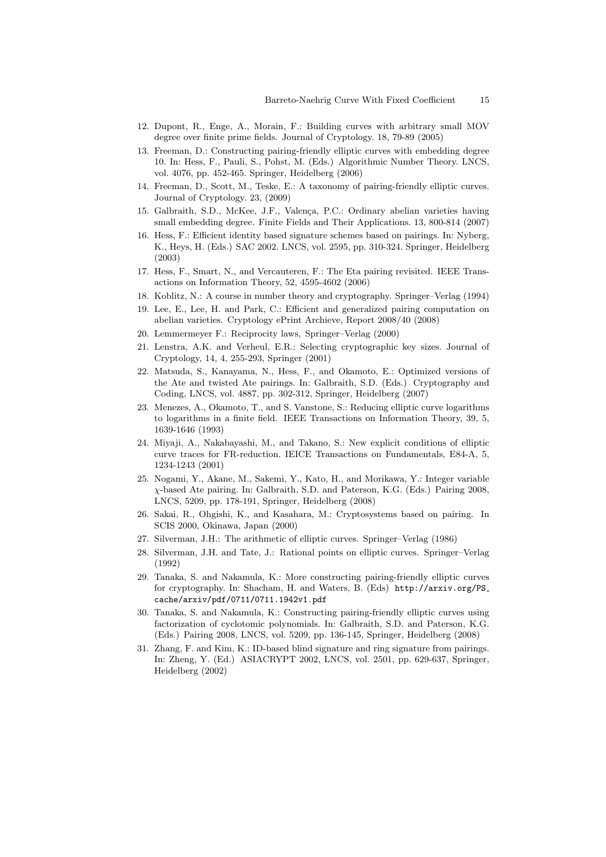- 12. Dupont, R., Enge, A., Morain, F.: Building curves with arbitrary small MOV degree over finite prime fields. Journal of Cryptology. 18, 79-89 (2005)
- 13. Freeman, D.: Constructing pairing-friendly elliptic curves with embedding degree 10. In: Hess, F., Pauli, S., Pohst, M. (Eds.) Algorithmic Number Theory. LNCS, vol. 4076, pp. 452-465. Springer, Heidelberg (2006)
- 14. Freeman, D., Scott, M., Teske, E.: A taxonomy of pairing-friendly elliptic curves. Journal of Cryptology. 23, (2009)
- 15. Galbraith, S.D., McKee, J.F., Valença, P.C.: Ordinary abelian varieties having small embedding degree. Finite Fields and Their Applications. 13, 800-814 (2007)
- 16. Hess, F.: Efficient identity based signature schemes based on pairings. In: Nyberg, K., Heys, H. (Eds.) SAC 2002. LNCS, vol. 2595, pp. 310-324. Springer, Heidelberg (2003)
- 17. Hess, F., Smart, N., and Vercauteren, F.: The Eta pairing revisited. IEEE Transactions on Information Theory, 52, 4595-4602 (2006)
- 18. Koblitz, N.: A course in number theory and cryptography. Springer–Verlag (1994)
- 19. Lee, E., Lee, H. and Park, C.: Efficient and generalized pairing computation on abelian varieties. Cryptology ePrint Archieve, Report 2008/40 (2008)
- 20. Lemmermeyer F.: Reciprocity laws, Springer–Verlag (2000)
- 21. Lenstra, A.K. and Verheul, E.R.: Selecting cryptographic key sizes. Journal of Cryptology, 14, 4, 255-293, Springer (2001)
- 22. Matsuda, S., Kanayama, N., Hess, F., and Okamoto, E.: Optimized versions of the Ate and twisted Ate pairings. In: Galbraith, S.D. (Eds.) Cryptography and Coding, LNCS, vol. 4887, pp. 302-312, Springer, Heidelberg (2007)
- 23. Menezes, A., Okamoto, T., and S. Vanstone, S.: Reducing elliptic curve logarithms to logarithms in a finite field. IEEE Transactions on Information Theory, 39, 5, 1639-1646 (1993)
- 24. Miyaji, A., Nakabayashi, M., and Takano, S.: New explicit conditions of elliptic curve traces for FR-reduction. IEICE Transactions on Fundamentals, E84-A, 5, 1234-1243 (2001)
- 25. Nogami, Y., Akane, M., Sakemi, Y., Kato, H., and Morikawa, Y.: Integer variable χ-based Ate pairing. In: Galbraith, S.D. and Paterson, K.G. (Eds.) Pairing 2008, LNCS, 5209, pp. 178-191, Springer, Heidelberg (2008)
- 26. Sakai, R., Ohgishi, K., and Kasahara, M.: Cryptosystems based on pairing. In SCIS 2000, Okinawa, Japan (2000)
- 27. Silverman, J.H.: The arithmetic of elliptic curves. Springer–Verlag (1986)
- 28. Silverman, J.H. and Tate, J.: Rational points on elliptic curves. Springer–Verlag (1992)
- 29. Tanaka, S. and Nakamula, K.: More constructing pairing-friendly elliptic curves for cryptography. In: Shacham, H. and Waters, B. (Eds) http://arxiv.org/PS cache/arxiv/pdf/0711/0711.1942v1.pdf
- 30. Tanaka, S. and Nakamula, K.: Constructing pairing-friendly elliptic curves using factorization of cyclotomic polynomials. In: Galbraith, S.D. and Paterson, K.G. (Eds.) Pairing 2008, LNCS, vol. 5209, pp. 136-145, Springer, Heidelberg (2008)
- 31. Zhang, F. and Kim, K.: ID-based blind signature and ring signature from pairings. In: Zheng, Y. (Ed.) ASIACRYPT 2002, LNCS, vol. 2501, pp. 629-637, Springer, Heidelberg (2002)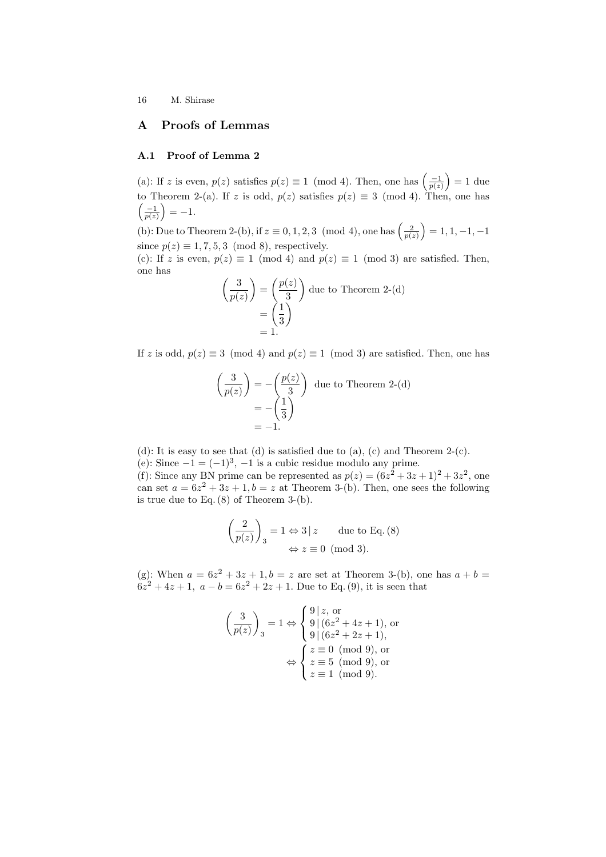# A Proofs of Lemmas

### A.1 Proof of Lemma 2

(a): If z is even,  $p(z)$  satisfies  $p(z) \equiv 1 \pmod{4}$ . Then, one has  $\left(\frac{-1}{p(z)}\right)$ ´  $= 1$  due to Theorem 2-(a). If z is odd,  $p(z)$  satisfies  $p(z) \equiv 3 \pmod{4}$ . Then, one has  $\frac{-1}{p(z)}$ ) = -1. ´

(b): Due to Theorem 2-(b), if  $z \equiv 0, 1, 2, 3 \pmod{4}$ , one has  $\left(\frac{2}{p(z)}\right)$  $= 1, 1, -1, -1$ since  $p(z) \equiv 1, 7, 5, 3 \pmod{8}$ , respectively.

(c): If z is even,  $p(z) \equiv 1 \pmod{4}$  and  $p(z) \equiv 1 \pmod{3}$  are satisfied. Then, one has

$$
\left(\frac{3}{p(z)}\right) = \left(\frac{p(z)}{3}\right)
$$
 due to Theorem 2-(d)  
= 
$$
\left(\frac{1}{3}\right)
$$
= 1.

If z is odd,  $p(z) \equiv 3 \pmod{4}$  and  $p(z) \equiv 1 \pmod{3}$  are satisfied. Then, one has

$$
\left(\frac{3}{p(z)}\right) = -\left(\frac{p(z)}{3}\right)
$$
 due to Theorem 2-(d)  
= - $\left(\frac{1}{3}\right)$   
= -1.

(d): It is easy to see that (d) is satisfied due to (a), (c) and Theorem 2-(c).

(e): Since  $-1 = (-1)^3$ ,  $-1$  is a cubic residue modulo any prime.

(f): Since any BN prime can be represented as  $p(z) = (6z^2 + 3z + 1)^2 + 3z^2$ , one can set  $a = 6z^2 + 3z + 1$ ,  $b = z$  at Theorem 3-(b). Then, one sees the following is true due to Eq. (8) of Theorem 3-(b).

$$
\left(\frac{2}{p(z)}\right)_3 = 1 \Leftrightarrow 3 \mid z \qquad \text{due to Eq. (8)}
$$

$$
\Leftrightarrow z \equiv 0 \pmod{3}.
$$

(g): When  $a = 6z^2 + 3z + 1$ ,  $b = z$  are set at Theorem 3-(b), one has  $a + b = z$  $6z^2 + 4z + 1$ ,  $a - b = 6z^2 + 2z + 1$ . Due to Eq. (9), it is seen that

$$
\left(\frac{3}{p(z)}\right)_3 = 1 \Leftrightarrow \begin{cases} 9 \mid z, \text{ or} \\ 9 \mid (6z^2 + 4z + 1), \text{ or} \\ 9 \mid (6z^2 + 2z + 1), \\ z \equiv 0 \pmod{9}, \text{ or} \\ z \equiv 5 \pmod{9}, \text{ or} \\ z \equiv 1 \pmod{9}. \end{cases}
$$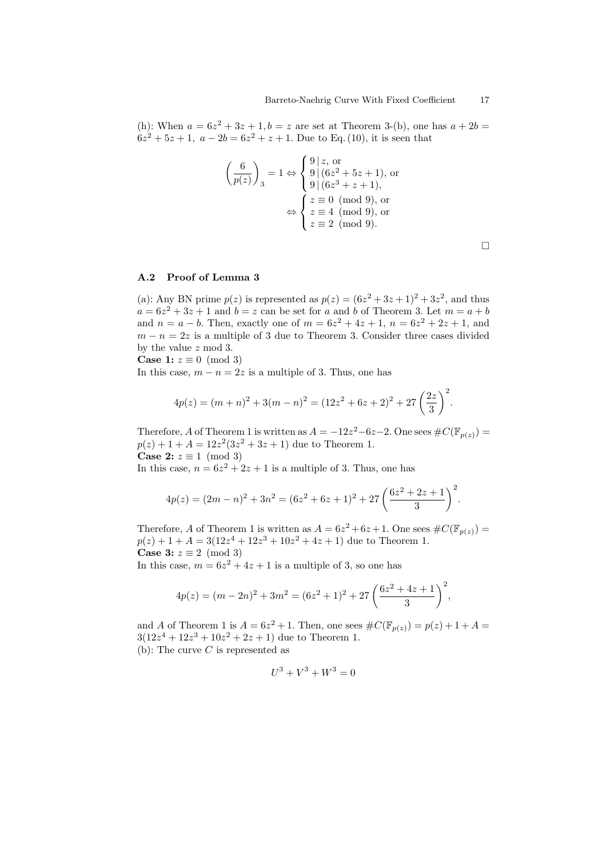(h): When  $a = 6z^2 + 3z + 1$ ,  $b = z$  are set at Theorem 3-(b), one has  $a + 2b =$  $6z^2 + 5z + 1$ ,  $a - 2b = 6z^2 + z + 1$ . Due to Eq. (10), it is seen that

$$
\left(\frac{6}{p(z)}\right)_3 = 1 \Leftrightarrow \begin{cases} 9 \mid z, \text{ or} \\ 9 \mid (6z^2 + 5z + 1), \text{ or} \\ 9 \mid (6z^3 + z + 1), \\ z \equiv 0 \pmod{9}, \text{ or} \\ z \equiv 4 \pmod{9}, \text{ or} \\ z \equiv 2 \pmod{9}. \end{cases}
$$

 $\Box$ 

### A.2 Proof of Lemma 3

(a): Any BN prime  $p(z)$  is represented as  $p(z) = (6z^2 + 3z + 1)^2 + 3z^2$ , and thus  $a = 6z^2 + 3z + 1$  and  $b = z$  can be set for a and b of Theorem 3. Let  $m = a + b$ and  $n = a - b$ . Then, exactly one of  $m = 6z^2 + 4z + 1$ ,  $n = 6z^2 + 2z + 1$ , and  $m - n = 2z$  is a multiple of 3 due to Theorem 3. Consider three cases divided by the value z mod 3.

**Case 1:**  $z \equiv 0 \pmod{3}$ 

In this case,  $m - n = 2z$  is a multiple of 3. Thus, one has

$$
4p(z) = (m+n)^2 + 3(m-n)^2 = (12z^2 + 6z + 2)^2 + 27\left(\frac{2z}{3}\right)^2.
$$

Therefore, A of Theorem 1 is written as  $A = -12z^2-6z-2$ . One sees  $\#C(\mathbb{F}_{p(z)}) =$  $p(z) + 1 + A = 12z^2(3z^2 + 3z + 1)$  due to Theorem 1. Case 2:  $z \equiv 1 \pmod{3}$ 

In this case,  $n = 6z^2 + 2z + 1$  is a multiple of 3. Thus, one has

$$
4p(z) = (2m - n)^2 + 3n^2 = (6z^2 + 6z + 1)^2 + 27\left(\frac{6z^2 + 2z + 1}{3}\right)^2.
$$

Therefore, A of Theorem 1 is written as  $A = 6z^2 + 6z + 1$ . One sees  $\#C(\mathbb{F}_{p(z)}) =$  $p(z) + 1 + A = 3(12z^4 + 12z^3 + 10z^2 + 4z + 1)$  due to Theorem 1. Case 3:  $z \equiv 2 \pmod{3}$ 

In this case,  $m = 6z^2 + 4z + 1$  is a multiple of 3, so one has

$$
4p(z) = (m - 2n)^{2} + 3m^{2} = (6z^{2} + 1)^{2} + 27\left(\frac{6z^{2} + 4z + 1}{3}\right)^{2},
$$

and A of Theorem 1 is  $A = 6z^2 + 1$ . Then, one sees  $\#C(\mathbb{F}_{p(z)}) = p(z) + 1 + A =$  $3(12z<sup>4</sup> + 12z<sup>3</sup> + 10z<sup>2</sup> + 2z + 1)$  due to Theorem 1. (b): The curve  $C$  is represented as

$$
U^3 + V^3 + W^3 = 0
$$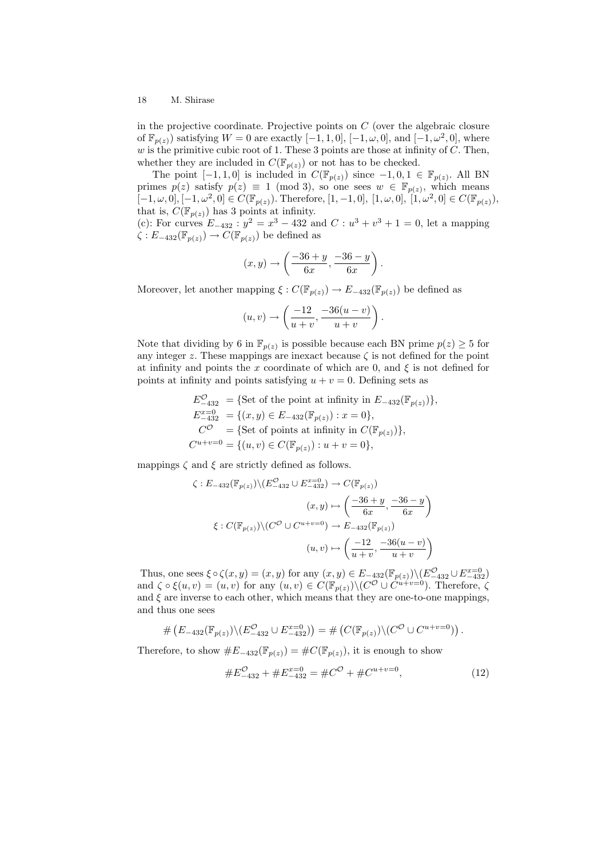in the projective coordinate. Projective points on  $C$  (over the algebraic closure of  $\mathbb{F}_{p(z)}$ ) satisfying  $W = 0$  are exactly  $[-1, 1, 0]$ ,  $[-1, \omega, 0]$ , and  $[-1, \omega^2, 0]$ , where w is the primitive cubic root of 1. These 3 points are those at infinity of  $\tilde{C}$ . Then, whether they are included in  $C(\mathbb{F}_{p(z)})$  or not has to be checked.

The point  $[-1, 1, 0]$  is included in  $C(\mathbb{F}_{p(z)})$  since  $-1, 0, 1 \in \mathbb{F}_{p(z)}$ . All BN primes  $p(z)$  satisfy  $p(z) \equiv 1 \pmod{3}$ , so one sees  $w \in \mathbb{F}_{p(z)}$ , which means  $[-1,\omega,0], [-1,\omega^2,0] \in C(\mathbb{F}_{p(z)})$ . Therefore,  $[1,-1,0], [1,\omega,0], [1,\omega^2,0] \in C(\mathbb{F}_{p(z)})$ , that is,  $C(\mathbb{F}_{p(z)})$  has 3 points at infinity.

(c): For curves  $E_{-432}$ :  $y^2 = x^3 - 432$  and  $C : u^3 + v^3 + 1 = 0$ , let a mapping  $\zeta : E_{-432}(\mathbb{F}_{p(z)}) \to C(\mathbb{F}_{p(z)})$  be defined as

$$
(x,y)\rightarrow \left(\frac{-36+y}{6x},\frac{-36-y}{6x}\right).
$$

Moreover, let another mapping  $\xi : C(\mathbb{F}_{p(z)}) \to E_{-432}(\mathbb{F}_{p(z)})$  be defined as

$$
(u,v) \rightarrow \left(\frac{-12}{u+v}, \frac{-36(u-v)}{u+v}\right).
$$

Note that dividing by 6 in  $\mathbb{F}_{p(z)}$  is possible because each BN prime  $p(z) \geq 5$  for any integer z. These mappings are inexact because  $\zeta$  is not defined for the point at infinity and points the x coordinate of which are 0, and  $\xi$  is not defined for points at infinity and points satisfying  $u + v = 0$ . Defining sets as

$$
E_{-432}^{\mathcal{O}} = \{ \text{Set of the point at infinity in } E_{-432}(\mathbb{F}_{p(z)}) \},
$$
  
\n
$$
E_{-432}^{x=0} = \{ (x, y) \in E_{-432}(\mathbb{F}_{p(z)}) : x = 0 \},
$$
  
\n
$$
C^{\mathcal{O}} = \{ \text{Set of points at infinity in } C(\mathbb{F}_{p(z)}) \},
$$
  
\n
$$
C^{u+v=0} = \{ (u, v) \in C(\mathbb{F}_{p(z)}) : u + v = 0 \},
$$

mappings  $\zeta$  and  $\xi$  are strictly defined as follows.

$$
\zeta: E_{-432}(\mathbb{F}_{p(z)}) \setminus (E_{-432}^{\mathbb{F}_{p(z)}} \cup E_{-432}^{\mathbb{F}_{p(z)}}) \to C(\mathbb{F}_{p(z)})
$$

$$
(x, y) \mapsto \left(\frac{-36 + y}{6x}, \frac{-36 - y}{6x}\right)
$$

$$
\xi: C(\mathbb{F}_{p(z)}) \setminus (C^{\mathcal{O}} \cup C^{u+v=0}) \to E_{-432}(\mathbb{F}_{p(z)})
$$

$$
(u, v) \mapsto \left(\frac{-12}{u+v}, \frac{-36(u-v)}{u+v}\right)
$$

Thus, one sees  $\xi \circ \zeta(x, y) = (x, y)$  for any  $(x, y) \in E_{-432}(\mathbb{F}_{p(z)}) \setminus (E_{-432}^{\mathcal{O}} \cup E_{-432}^{x=0})$ and  $\zeta \circ \xi(u,v) = (u,v)$  for any  $(u,v) \in C(\mathbb{F}_{p(z)}) \setminus (C^{\mathcal{O}} \cup C^{\hat{u}+v=0})$ . Therefore,  $\zeta$ and  $\xi$  are inverse to each other, which means that they are one-to-one mappings, and thus one sees

$$
\# \left( E_{-432}(\mathbb{F}_{p(z)}) \backslash (E_{-432}^{\mathcal{O}} \cup E_{-432}^{x=0}) \right) = \# \left( C(\mathbb{F}_{p(z)}) \backslash (C^{\mathcal{O}} \cup C^{u+v=0}) \right).
$$

Therefore, to show  $\#E_{-432}(\mathbb{F}_{p(z)}) = \#C(\mathbb{F}_{p(z)})$ , it is enough to show

$$
\#E_{-432}^{\mathcal{O}} + \#E_{-432}^{x=0} = \#C^{\mathcal{O}} + \#C^{u+v=0},\tag{12}
$$